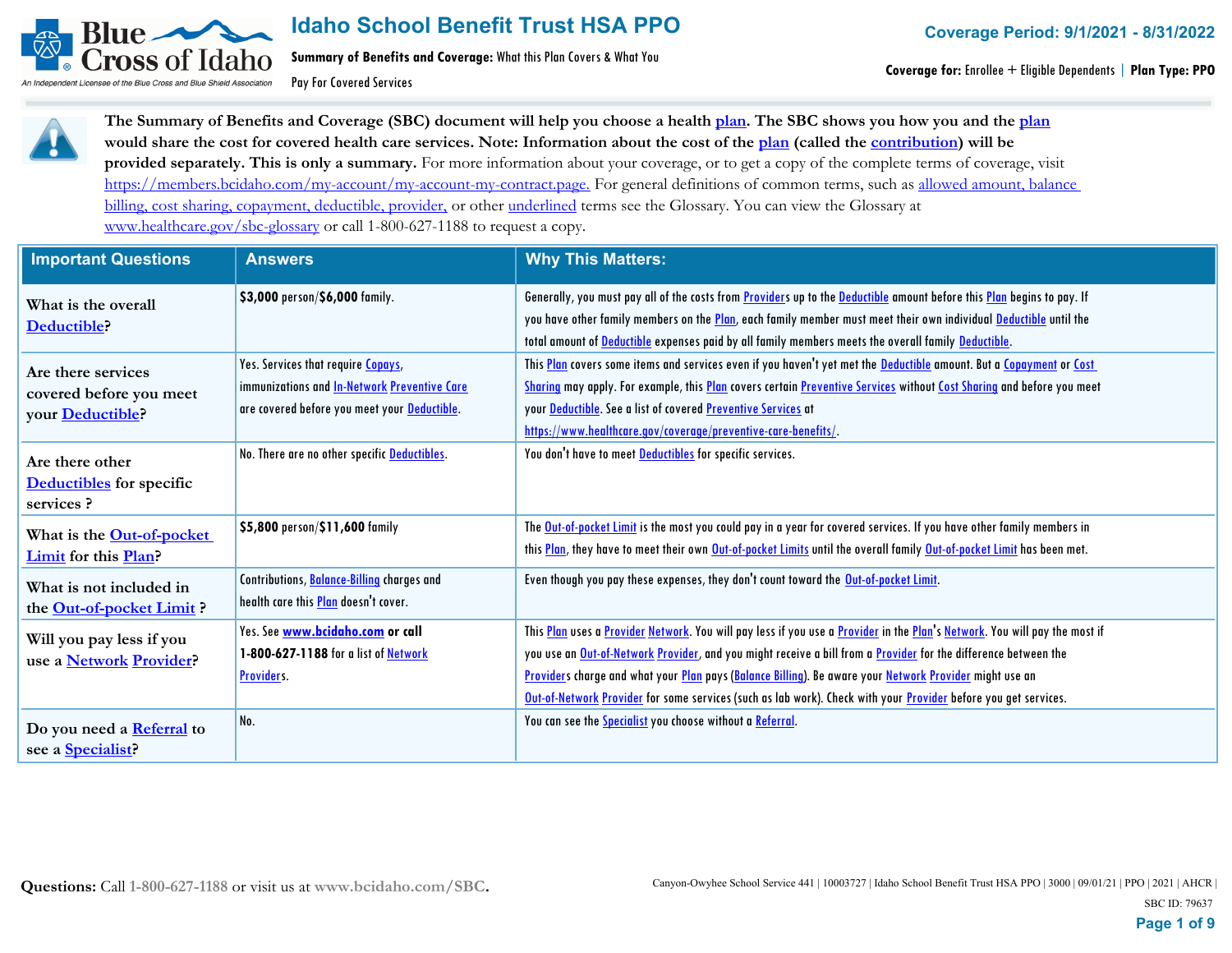

**Summary of Benefits and Coverage:** What this Plan Covers & What You

Pay For Covered Services

**Coverage for:** Enrollee + Eligible Dependents | **Plan Type: PPO**



**The Summary of Benefits and Coverage (SBC) document will help you choose a health plan. The SBC shows you how you and the plan would share the cost for covered health care services. Note: Information about the cost of the plan (called the contribution) will be provided separately. This is only a summary.** For more information about your coverage, or to get a copy of the complete terms of coverage, visit https://members.bcidaho.com/my-account/my-account-my-contract.page. For general definitions of common terms, such as allowed amount, balance billing, cost sharing, copayment, deductible, provider, or other underlined terms see the Glossary. You can view the Glossary at www.healthcare.gov/sbc-glossary or call 1-800-627-1188 to request a copy.

| <b>Important Questions</b>       | <b>Answers</b>                                      | <b>Why This Matters:</b>                                                                                                   |
|----------------------------------|-----------------------------------------------------|----------------------------------------------------------------------------------------------------------------------------|
| What is the overall              | \$3,000 person/\$6,000 family.                      | Generally, you must pay all of the costs from Providers up to the Deductible amount before this Plan begins to pay. If     |
| Deductible?                      |                                                     | you have other family members on the Plan, each family member must meet their own individual Deductible until the          |
|                                  |                                                     | total amount of Deductible expenses paid by all family members meets the overall family Deductible.                        |
| Are there services               | Yes. Services that require Copays,                  | This Plan covers some items and services even if you haven't yet met the Deductible amount. But a Copayment or Cost        |
| covered before you meet          | immunizations and <b>In-Network Preventive Care</b> | Sharing may apply. For example, this Plan covers certain Preventive Services without Cost Sharing and before you meet      |
| your <b>Deductible</b> ?         | are covered before you meet your Deductible.        | your Deductible. See a list of covered Preventive Services at                                                              |
|                                  |                                                     | https://www.healthcare.gov/coverage/preventive-care-benefits/.                                                             |
| Are there other                  | No. There are no other specific Deductibles.        | You don't have to meet <b>Deductibles</b> for specific services.                                                           |
| <b>Deductibles</b> for specific  |                                                     |                                                                                                                            |
| services ?                       |                                                     |                                                                                                                            |
| What is the <b>Out-of-pocket</b> | \$5,800 person/\$11,600 family                      | The Out-of-pocket Limit is the most you could pay in a year for covered services. If you have other family members in      |
| <b>Limit for this Plan?</b>      |                                                     | this Plan, they have to meet their own Out-of-pocket Limits until the overall family Out-of-pocket Limit has been met.     |
| What is not included in          | Contributions, Balance-Billing charges and          | Even though you pay these expenses, they don't count toward the Out-of-pocket Limit.                                       |
| the Out-of-pocket Limit?         | health care this <b>Plan</b> doesn't cover.         |                                                                                                                            |
| Will you pay less if you         | Yes. See www.bcidaho.com or call                    | This Plan uses a Provider Network. You will pay less if you use a Provider in the Plan's Network. You will pay the most if |
| use a Network Provider?          | 1-800-627-1188 for a list of Network                | you use an Out-of-Network Provider, and you might receive a bill from a Provider for the difference between the            |
|                                  | Providers.                                          | Providers charge and what your Plan pays (Balance Billing). Be aware your Network Provider might use an                    |
|                                  |                                                     | Out-of-Network Provider for some services (such as lab work). Check with your Provider before you get services.            |
| Do you need a Referral to        | No.                                                 | You can see the <b>Specialist</b> you choose without a Referral.                                                           |
| see a <b>Specialist</b> ?        |                                                     |                                                                                                                            |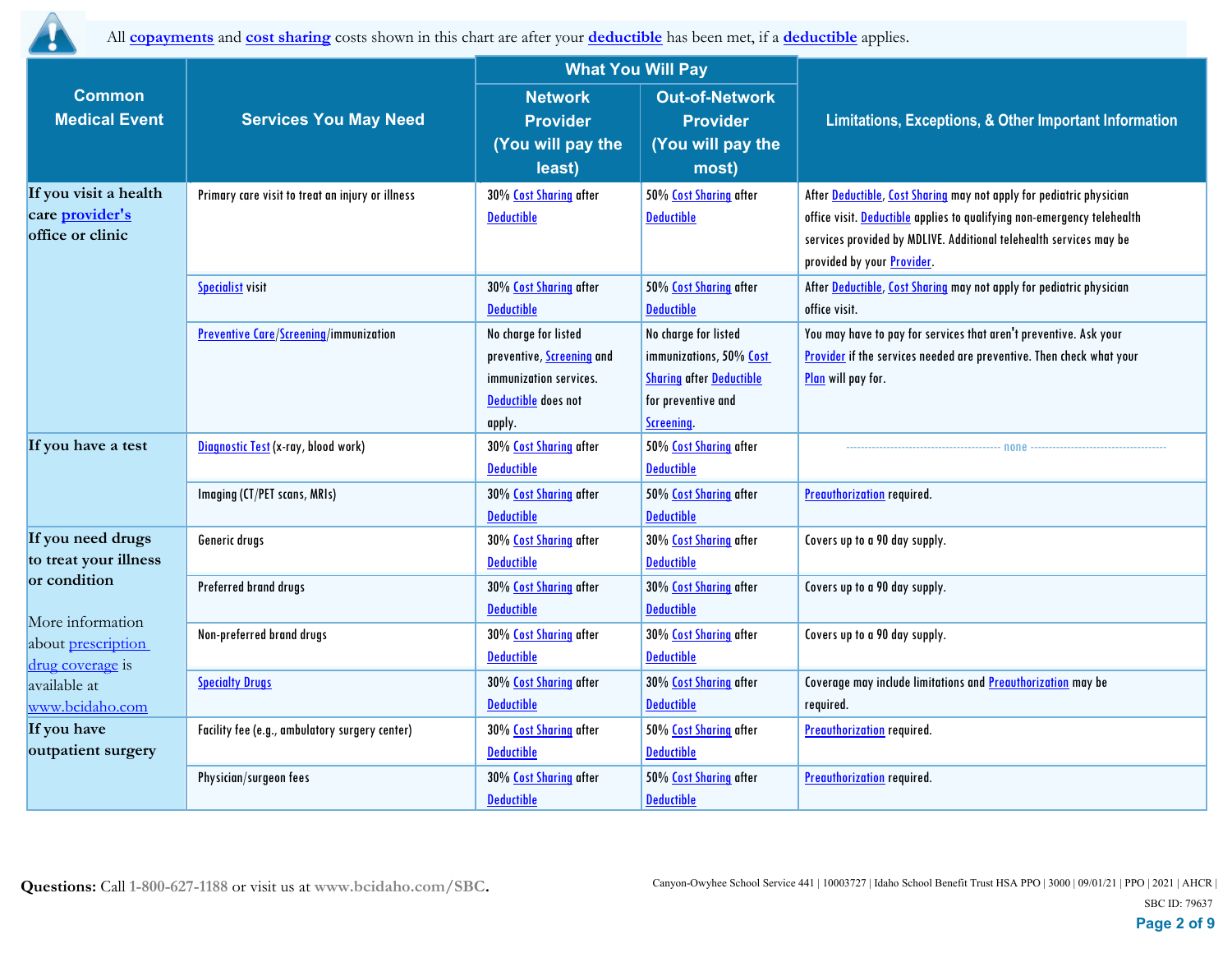

All **copayments** and **cost sharing** costs shown in this chart are after your **deductible** has been met, if a **deductible** applies.

|                                                                                   |                                                  | <b>What You Will Pay</b>         |                                 |                                                                         |  |
|-----------------------------------------------------------------------------------|--------------------------------------------------|----------------------------------|---------------------------------|-------------------------------------------------------------------------|--|
| <b>Common</b>                                                                     |                                                  | <b>Network</b>                   | <b>Out-of-Network</b>           |                                                                         |  |
| <b>Medical Event</b>                                                              | <b>Services You May Need</b>                     | <b>Provider</b>                  | <b>Provider</b>                 | Limitations, Exceptions, & Other Important Information                  |  |
|                                                                                   |                                                  | (You will pay the                | (You will pay the               |                                                                         |  |
|                                                                                   |                                                  | least)                           | most)                           |                                                                         |  |
| If you visit a health                                                             | Primary care visit to treat an injury or illness | 30% Cost Sharing after           | 50% Cost Sharing after          | After Deductible, Cost Sharing may not apply for pediatric physician    |  |
| care provider's                                                                   |                                                  | <b>Deductible</b>                | <b>Deductible</b>               | office visit. Deductible applies to qualifying non-emergency telehealth |  |
| office or clinic                                                                  |                                                  |                                  |                                 | services provided by MDLIVE. Additional telehealth services may be      |  |
|                                                                                   |                                                  |                                  |                                 | provided by your <b>Provider</b> .                                      |  |
|                                                                                   | <b>Specialist visit</b>                          | 30% Cost Sharing after           | 50% Cost Sharing after          | After Deductible, Cost Sharing may not apply for pediatric physician    |  |
|                                                                                   |                                                  | <b>Deductible</b>                | <b>Deductible</b>               | office visit.                                                           |  |
|                                                                                   | <b>Preventive Care/Screening/immunization</b>    | No charge for listed             | No charge for listed            | You may have to pay for services that aren't preventive. Ask your       |  |
|                                                                                   |                                                  | preventive, <b>Screening</b> and | immunizations, 50% Cost         | Provider if the services needed are preventive. Then check what your    |  |
|                                                                                   |                                                  | immunization services.           | <b>Sharing after Deductible</b> | Plan will pay for.                                                      |  |
|                                                                                   |                                                  | Deductible does not              | for preventive and              |                                                                         |  |
|                                                                                   |                                                  | apply.                           | Screening.                      |                                                                         |  |
| If you have a test                                                                | Diagnostic Test (x-ray, blood work)              | 30% Cost Sharing after           | 50% Cost Sharing after          | none                                                                    |  |
|                                                                                   |                                                  | <b>Deductible</b>                | <b>Deductible</b>               |                                                                         |  |
|                                                                                   | Imaging (CT/PET scans, MRIs)                     | 30% Cost Sharing after           | 50% Cost Sharing after          | <b>Preauthorization</b> required.                                       |  |
|                                                                                   |                                                  | <b>Deductible</b>                | <b>Deductible</b>               |                                                                         |  |
| If you need drugs                                                                 | Generic drugs                                    | 30% Cost Sharing after           | 30% Cost Sharing after          | Covers up to a 90 day supply.                                           |  |
| to treat your illness                                                             |                                                  | <b>Deductible</b>                | <b>Deductible</b>               |                                                                         |  |
| or condition<br>More information<br>about <i>prescription</i><br>drug coverage is | Preferred brand drugs                            | 30% Cost Sharing after           | 30% Cost Sharing after          | Covers up to a 90 day supply.                                           |  |
|                                                                                   |                                                  | <b>Deductible</b>                | <b>Deductible</b>               |                                                                         |  |
|                                                                                   | Non-preferred brand drugs                        | 30% Cost Sharing after           | 30% Cost Sharing after          | Covers up to a 90 day supply.                                           |  |
|                                                                                   |                                                  | <b>Deductible</b>                | <b>Deductible</b>               |                                                                         |  |
| available at                                                                      | <b>Specialty Drugs</b>                           | 30% Cost Sharing after           | 30% Cost Sharing after          | Coverage may include limitations and Preauthorization may be            |  |
| www.bcidaho.com                                                                   |                                                  | <b>Deductible</b>                | <b>Deductible</b>               | required.                                                               |  |
| If you have                                                                       | Facility fee (e.g., ambulatory surgery center)   | 30% Cost Sharing after           | 50% Cost Sharing after          | <b>Preauthorization</b> required.                                       |  |
| outpatient surgery                                                                |                                                  | <b>Deductible</b>                | <b>Deductible</b>               |                                                                         |  |
|                                                                                   | Physician/surgeon fees                           | 30% Cost Sharing after           | 50% Cost Sharing after          | <b>Preauthorization required.</b>                                       |  |
|                                                                                   |                                                  | <b>Deductible</b>                | <b>Deductible</b>               |                                                                         |  |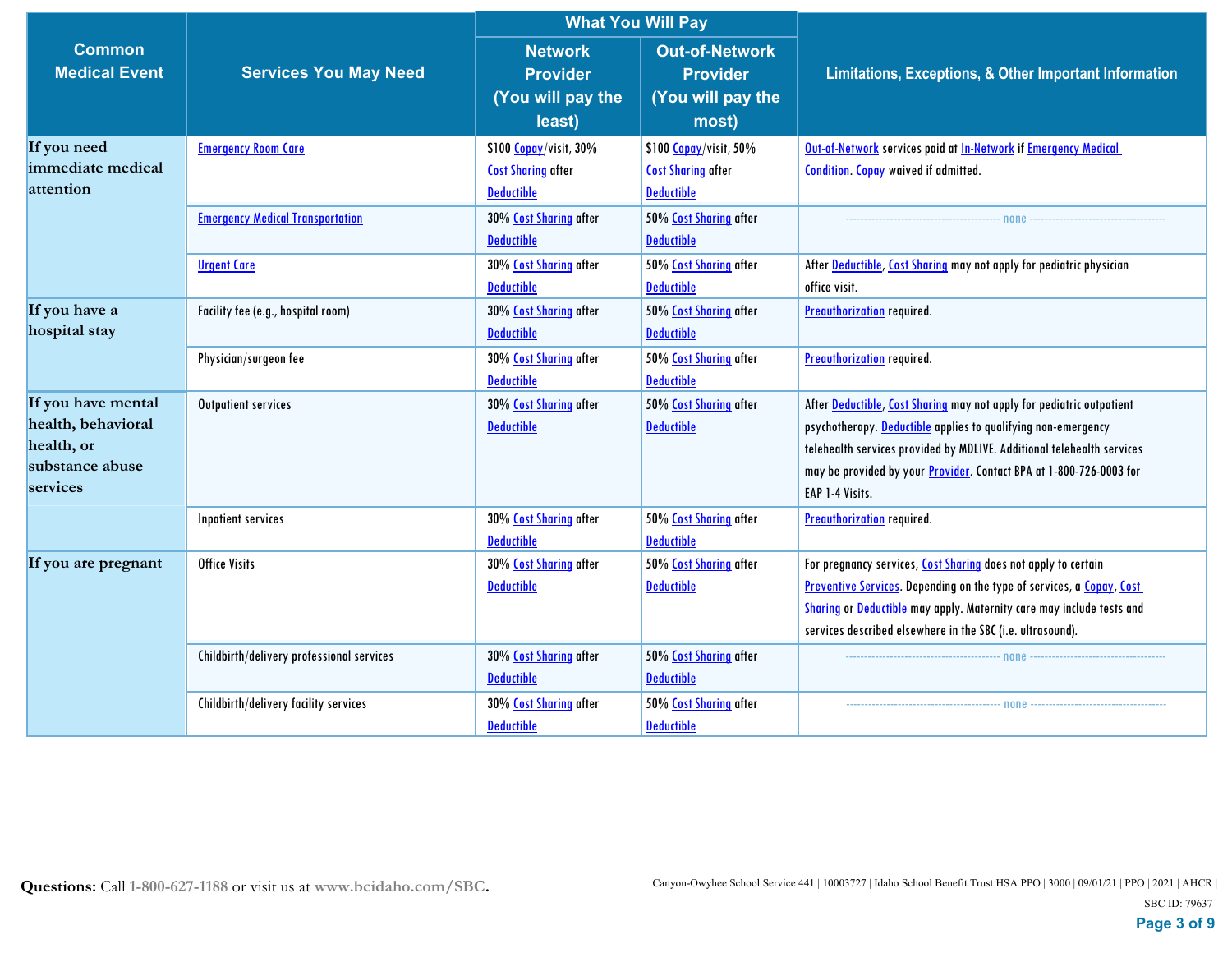|                                                                                       |                                                               |                                                                                            | <b>What You Will Pay</b>                                                                   |                                                                                                                                                                                                                                                                                                            |  |
|---------------------------------------------------------------------------------------|---------------------------------------------------------------|--------------------------------------------------------------------------------------------|--------------------------------------------------------------------------------------------|------------------------------------------------------------------------------------------------------------------------------------------------------------------------------------------------------------------------------------------------------------------------------------------------------------|--|
| <b>Common</b><br><b>Medical Event</b>                                                 | <b>Services You May Need</b>                                  | <b>Network</b><br><b>Provider</b><br>(You will pay the<br>least)                           | <b>Out-of-Network</b><br><b>Provider</b><br>(You will pay the<br>most)                     | Limitations, Exceptions, & Other Important Information                                                                                                                                                                                                                                                     |  |
| If you need<br>immediate medical<br>attention                                         | <b>Emergency Room Care</b>                                    | \$100 Copay/visit, 30%<br><b>Cost Sharing after</b><br><b>Deductible</b>                   | \$100 Copay/visit, 50%<br><b>Cost Sharing after</b><br><b>Deductible</b>                   | Out-of-Network services paid at In-Network if Emergency Medical<br><b>Condition. Copay waived if admitted.</b>                                                                                                                                                                                             |  |
|                                                                                       | <b>Emergency Medical Transportation</b><br><b>Urgent Care</b> | 30% Cost Sharing after<br><b>Deductible</b><br>30% Cost Sharing after<br><b>Deductible</b> | 50% Cost Sharing after<br><b>Deductible</b><br>50% Cost Sharing after<br><b>Deductible</b> | none non-<br>After Deductible, Cost Sharing may not apply for pediatric physician<br>office visit.                                                                                                                                                                                                         |  |
| If you have a<br>hospital stay                                                        | Facility fee (e.g., hospital room)<br>Physician/surgeon fee   | 30% Cost Sharing after<br><b>Deductible</b><br>30% Cost Sharing after<br><b>Deductible</b> | 50% Cost Sharing after<br><b>Deductible</b><br>50% Cost Sharing after<br><b>Deductible</b> | <b>Preauthorization</b> required.<br><b>Preauthorization</b> required.                                                                                                                                                                                                                                     |  |
| If you have mental<br>health, behavioral<br>health, or<br>substance abuse<br>services | <b>Outpatient services</b>                                    | 30% Cost Sharing after<br><b>Deductible</b>                                                | 50% Cost Sharing after<br><b>Deductible</b>                                                | After Deductible, Cost Sharing may not apply for pediatric outpatient<br>psychotherapy. Deductible applies to qualifying non-emergency<br>telehealth services provided by MDLIVE. Additional telehealth services<br>may be provided by your Provider. Contact BPA at 1-800-726-0003 for<br>EAP 1-4 Visits. |  |
|                                                                                       | Inpatient services                                            | 30% Cost Sharing after<br><b>Deductible</b>                                                | 50% Cost Sharing after<br><b>Deductible</b>                                                | <b>Preauthorization</b> required.                                                                                                                                                                                                                                                                          |  |
| If you are pregnant                                                                   | <b>Office Visits</b>                                          | 30% Cost Sharing after<br><b>Deductible</b>                                                | 50% Cost Sharing after<br><b>Deductible</b>                                                | For pregnancy services, Cost Sharing does not apply to certain<br>Preventive Services. Depending on the type of services, a Copay, Cost<br><b>Sharing or Deductible</b> may apply. Maternity care may include tests and<br>services described elsewhere in the SBC (i.e. ultrasound).                      |  |
|                                                                                       | Childbirth/delivery professional services                     | 30% Cost Sharing after<br><b>Deductible</b>                                                | 50% Cost Sharing after<br><b>Deductible</b>                                                |                                                                                                                                                                                                                                                                                                            |  |
|                                                                                       | Childbirth/delivery facility services                         | 30% Cost Sharing after<br><b>Deductible</b>                                                | 50% Cost Sharing after<br><b>Deductible</b>                                                |                                                                                                                                                                                                                                                                                                            |  |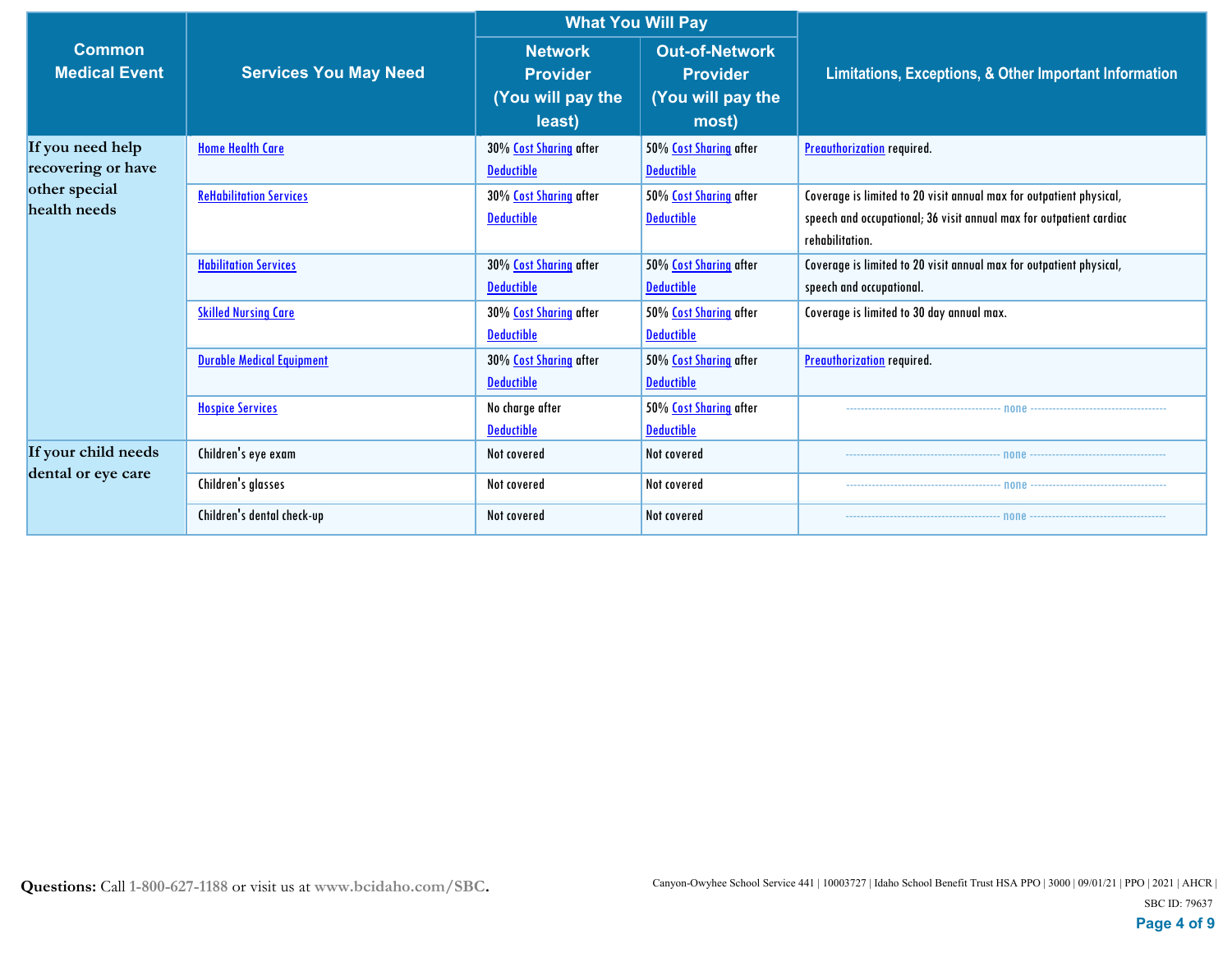|                                           |                                  | <b>What You Will Pay</b>                                         |                                                                        |                                                                                                                                                               |  |
|-------------------------------------------|----------------------------------|------------------------------------------------------------------|------------------------------------------------------------------------|---------------------------------------------------------------------------------------------------------------------------------------------------------------|--|
| <b>Common</b><br><b>Medical Event</b>     | <b>Services You May Need</b>     | <b>Network</b><br><b>Provider</b><br>(You will pay the<br>least) | <b>Out-of-Network</b><br><b>Provider</b><br>(You will pay the<br>most) | Limitations, Exceptions, & Other Important Information                                                                                                        |  |
| If you need help<br>recovering or have    | <b>Home Health Care</b>          | 30% Cost Sharing after<br><b>Deductible</b>                      | 50% Cost Sharing after<br><b>Deductible</b>                            | <b>Preauthorization</b> required.                                                                                                                             |  |
| other special<br>health needs             | <b>ReHabilitation Services</b>   | 30% Cost Sharing after<br><b>Deductible</b>                      | 50% Cost Sharing after<br><b>Deductible</b>                            | Coverage is limited to 20 visit annual max for outpatient physical,<br>speech and occupational; 36 visit annual max for outpatient cardiac<br>rehabilitation. |  |
|                                           | <b>Habilitation Services</b>     | 30% Cost Sharing after<br><b>Deductible</b>                      | 50% Cost Sharing after<br><b>Deductible</b>                            | Coverage is limited to 20 visit annual max for outpatient physical,<br>speech and occupational.                                                               |  |
|                                           | <b>Skilled Nursing Care</b>      | 30% Cost Sharing after<br><b>Deductible</b>                      | 50% Cost Sharing after<br><b>Deductible</b>                            | Coverage is limited to 30 day annual max.                                                                                                                     |  |
|                                           | <b>Durable Medical Equipment</b> | 30% Cost Sharing after<br><b>Deductible</b>                      | 50% Cost Sharing after<br><b>Deductible</b>                            | <b>Preauthorization</b> required.                                                                                                                             |  |
|                                           | <b>Hospice Services</b>          | No charge after<br><b>Deductible</b>                             | 50% Cost Sharing after<br><b>Deductible</b>                            |                                                                                                                                                               |  |
| If your child needs<br>dental or eye care | Children's eye exam              | Not covered                                                      | Not covered                                                            | none                                                                                                                                                          |  |
|                                           | Children's glasses               | Not covered                                                      | Not covered                                                            |                                                                                                                                                               |  |
|                                           | Children's dental check-up       | Not covered                                                      | Not covered                                                            |                                                                                                                                                               |  |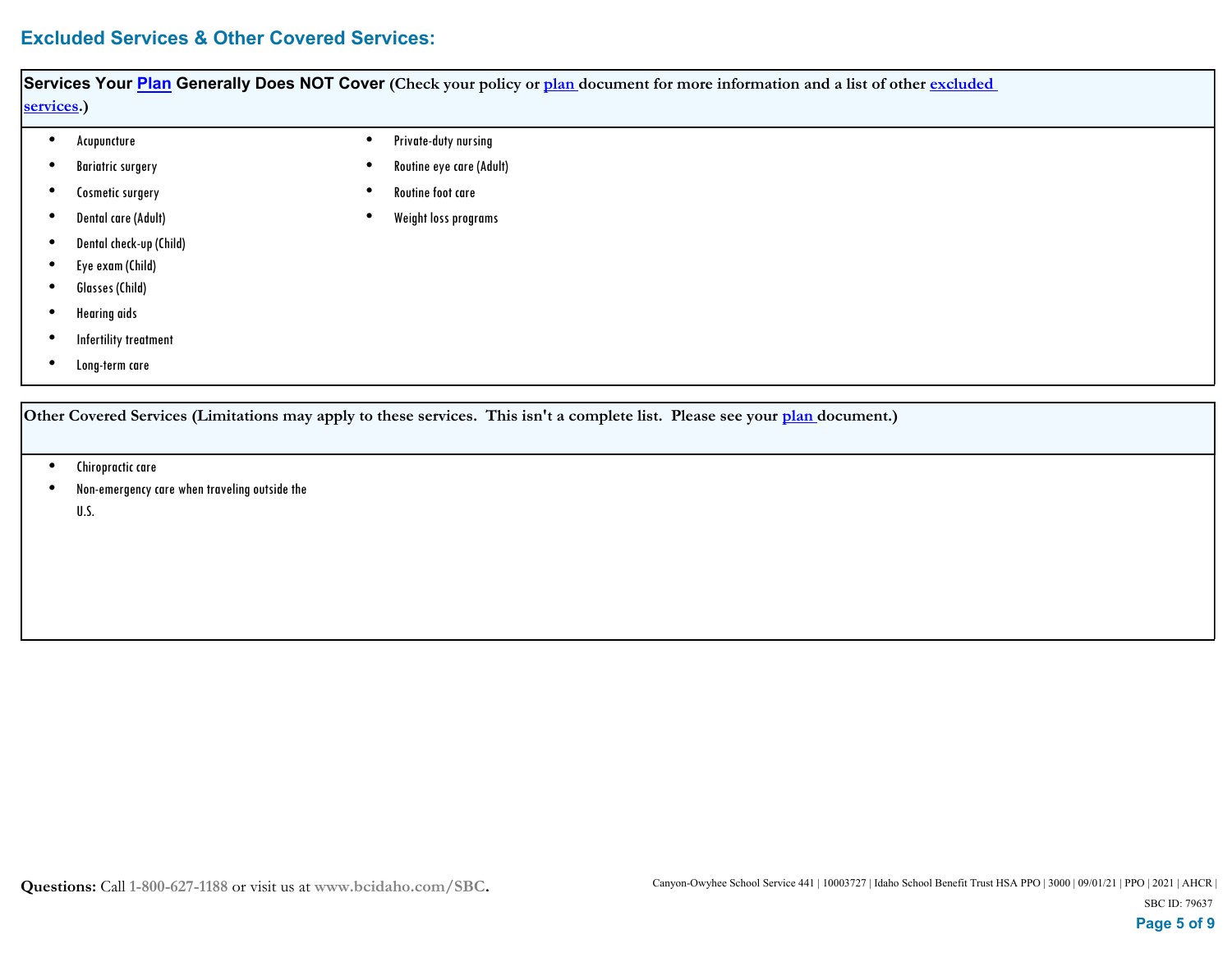# **Excluded Services & Other Covered Services:**

| Services Your <b>Plan</b> Generally Does NOT Cover (Check your policy or plan document for more information and a list of other excluded |  |                          |  |  |  |
|------------------------------------------------------------------------------------------------------------------------------------------|--|--------------------------|--|--|--|
| services.)                                                                                                                               |  |                          |  |  |  |
| Acupuncture                                                                                                                              |  | Private-duty nursing     |  |  |  |
| <b>Bariatric surgery</b>                                                                                                                 |  | Routine eye care (Adult) |  |  |  |
| Cosmetic surgery                                                                                                                         |  | Routine foot care        |  |  |  |
| Dental care (Adult)                                                                                                                      |  | Weight loss programs     |  |  |  |
| Dental check-up (Child)                                                                                                                  |  |                          |  |  |  |
| Eye exam (Child)                                                                                                                         |  |                          |  |  |  |
| Glasses (Child)                                                                                                                          |  |                          |  |  |  |
| <b>Hearing</b> aids                                                                                                                      |  |                          |  |  |  |
| Infertility treatment                                                                                                                    |  |                          |  |  |  |
| Long-term care                                                                                                                           |  |                          |  |  |  |
|                                                                                                                                          |  |                          |  |  |  |
| Other Covered Services (Limitations may apply to these services. This isn't a complete list. Please see your plan document.)             |  |                          |  |  |  |

- Chiropractic care
- Non-emergency care when traveling outside the U.S. •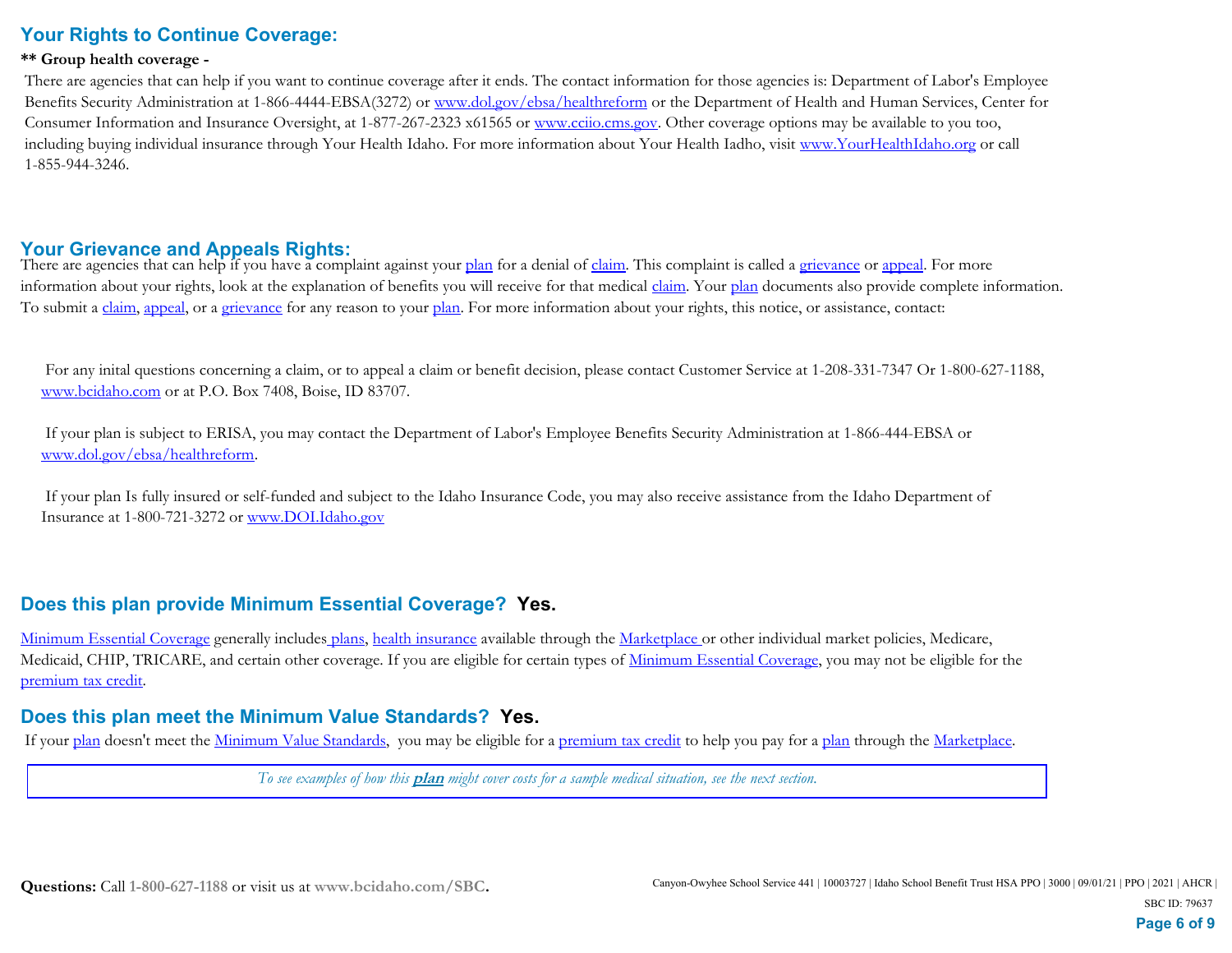# **Your Rights to Continue Coverage:**

#### **\*\* Group health coverage -**

 There are agencies that can help if you want to continue coverage after it ends. The contact information for those agencies is: Department of Labor's Employee Benefits Security Administration at 1-866-4444-EBSA(3272) or www.dol.gov/ebsa/healthreform or the Department of Health and Human Services, Center for Consumer Information and Insurance Oversight, at 1-877-267-2323 x61565 or www.cciio.cms.gov. Other coverage options may be available to you too, including buying individual insurance through Your Health Idaho. For more information about Your Health Iadho, visit www.YourHealthIdaho.org or call 1-855-944-3246.

### **Your Grievance and Appeals Rights:**

There are agencies that can help if you have a complaint against your plan for a denial of claim. This complaint is called a grievance or appeal. For more information about your rights, look at the explanation of benefits you will receive for that medical *claim*. Your plan documents also provide complete information. To submit a claim, appeal, or a grievance for any reason to your plan. For more information about your rights, this notice, or assistance, contact:

 For any inital questions concerning a claim, or to appeal a claim or benefit decision, please contact Customer Service at 1-208-331-7347 Or 1-800-627-1188, www.bcidaho.com or at P.O. Box 7408, Boise, ID 83707.

 If your plan is subject to ERISA, you may contact the Department of Labor's Employee Benefits Security Administration at 1-866-444-EBSA or www.dol.gov/ebsa/healthreform.

 If your plan Is fully insured or self-funded and subject to the Idaho Insurance Code, you may also receive assistance from the Idaho Department of Insurance at 1-800-721-3272 or www.DOI.Idaho.gov

## **Does this plan provide Minimum Essential Coverage? Yes.**

Minimum Essential Coverage generally includes plans, health insurance available through the Marketplace or other individual market policies, Medicare, Medicaid, CHIP, TRICARE, and certain other coverage. If you are eligible for certain types of Minimum Essential Coverage, you may not be eligible for the premium tax credit.

### **Does this plan meet the Minimum Value Standards? Yes.**

If your plan doesn't meet the Minimum Value Standards, you may be eligible for a premium tax credit to help you pay for a plan through the Marketplace.

*To see examples of how this* **plan** *might cover costs for a sample medical situation, see the next section.*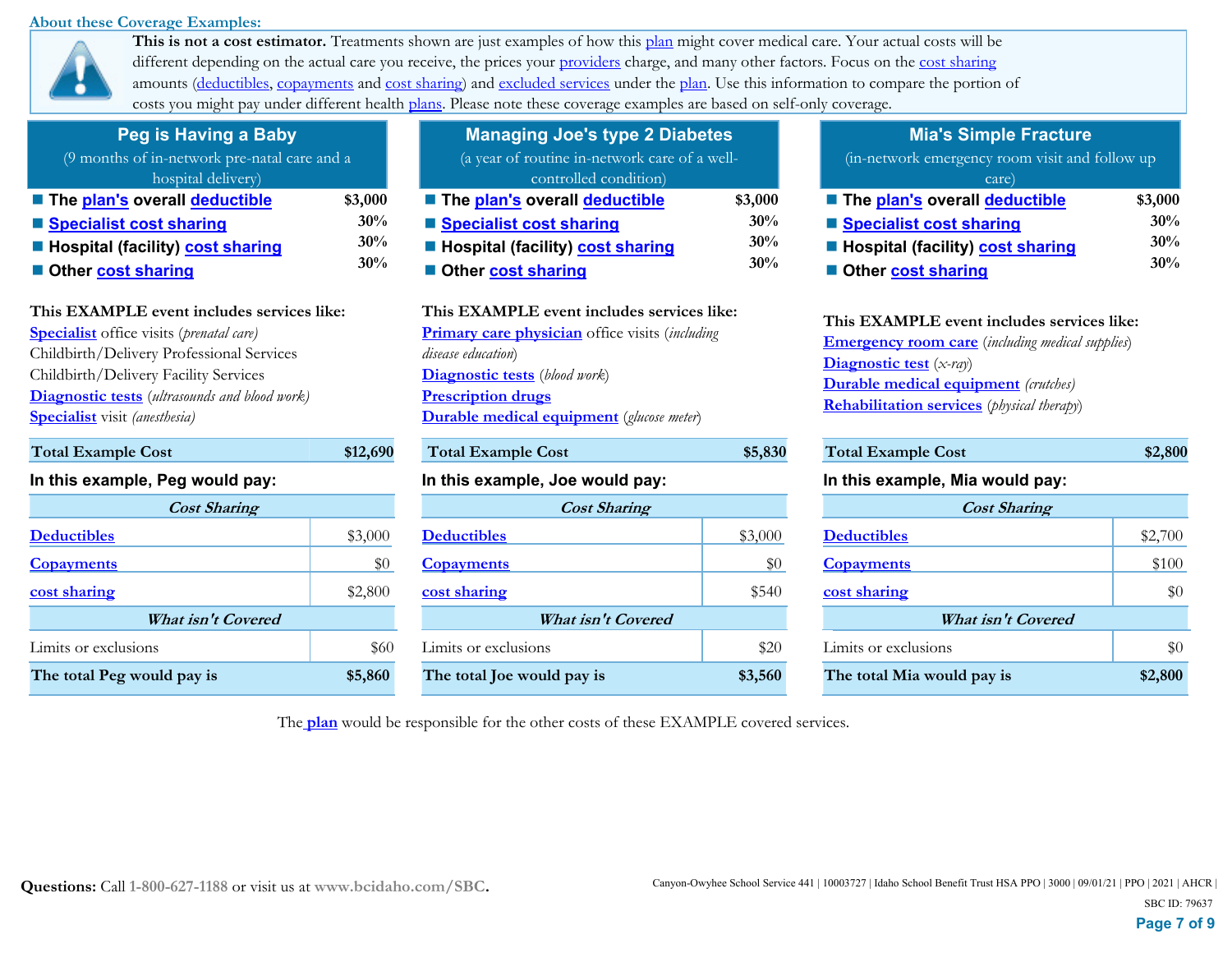#### **About these Coverage Examples:**



**This is not a cost estimator.** Treatments shown are just examples of how this plan might cover medical care. Your actual costs will be different depending on the actual care you receive, the prices your providers charge, and many other factors. Focus on the cost sharing amounts (deductibles, copayments and cost sharing) and excluded services under the plan. Use this information to compare the portion of costs you might pay under different health plans. Please note these coverage examples are based on self-only coverage.

| Peg is Having a Baby                                               |         |  |
|--------------------------------------------------------------------|---------|--|
| (9 months of in-network pre-natal care and a<br>hospital delivery) |         |  |
| The plan's overall deductible                                      | \$3,000 |  |
| ■ Specialist cost sharing                                          | 30%     |  |
| ■ Hospital (facility) cost sharing                                 | 30%     |  |
| Other cost sharing                                                 | 30%     |  |

### **This EXAMPLE event includes services like:**

**Specialist** office visits (*prenatal care)* Childbirth/Delivery Professional Services Childbirth/Delivery Facility Services **Diagnostic tests** (*ultrasounds and blood work)* **Specialist** visit *(anesthesia)* 

### **In this example, Peg would pay:**

| <b>Cost Sharing</b>        |         | <b>Cost Sharing</b>        |         |                    |
|----------------------------|---------|----------------------------|---------|--------------------|
| <b>Deductibles</b>         | \$3,000 | <b>Deductibles</b>         | \$3,000 | <b>Deductibles</b> |
| <b>Copayments</b>          | \$0     | <b>Copayments</b>          | \$0     | <b>Copayments</b>  |
| cost sharing               | \$2,800 | cost sharing               | \$540   | cost sharing       |
| <b>What isn't Covered</b>  |         | What isn't Covered         |         |                    |
| Limits or exclusions       | \$60    | Limits or exclusions       | \$20    | Limits or exc      |
| The total Peg would pay is | \$5,860 | The total Joe would pay is | \$3,560 | The total M        |

**Total Example Cost \$12,690** 

| <b>Managing Joe's type 2 Diabetes</b>         |         |
|-----------------------------------------------|---------|
| (a year of routine in-network care of a well- |         |
| controlled condition)                         |         |
| ■ The plan's overall deductible               | \$3,000 |
| ■ Specialist cost sharing                     | 30%     |
| ■ Hospital (facility) cost sharing            | 30%     |
| Other cost sharing                            | 30%     |
|                                               |         |
| This EXAMPLE event includes services like:    |         |
| ┱.                                            |         |

# **Primary care physician** office visits (*including disease education*) **Diagnostic tests** (*blood work*) **Prescription drugs Durable medical equipment** (*glucose meter*)

# Total Example Cost \$5,830 **In this example, Joe would pay: Deductibles Copayments Cost Sharing What isn't Covered** Limits or exclusions \$3,000 \$0 **cost sharing** \$540

**Mia's Simple Fracture**

| (in-network emergency room visit and follow up |         |  |
|------------------------------------------------|---------|--|
| care)                                          |         |  |
| ■ The plan's overall deductible                | \$3,000 |  |
| ■ Specialist cost sharing                      | 30%     |  |
| ■ Hospital (facility) cost sharing             | 30%     |  |
| Other cost sharing                             | 30%     |  |

| This EXAMPLE event includes services like:                 |
|------------------------------------------------------------|
| <b>Emergency room care</b> (including medical supplies)    |
| <b>Diagnostic test</b> $(x-ray)$                           |
| <b>Durable medical equipment</b> (crutches)                |
| <b>Rehabilitation services</b> ( <i>physical therapy</i> ) |
|                                                            |

| \$12,690 | <b>Total Example Cost</b>       | \$5,830 | <b>Total Example Cost</b>       | \$2,800 |  |
|----------|---------------------------------|---------|---------------------------------|---------|--|
|          | In this example, Joe would pay: |         | In this example, Mia would pay: |         |  |
|          | <b>Cost Sharing</b>             |         | <b>Cost Sharing</b>             |         |  |
| \$3,000  | <b>Deductibles</b>              | \$3,000 | <b>Deductibles</b>              | \$2,700 |  |
| \$0      | <b>Copayments</b>               | \$0     | <b>Copayments</b>               | \$100   |  |
| \$2,800  | cost sharing                    | \$540   | cost sharing                    | \$0     |  |
|          | <b>What isn't Covered</b>       |         | What isn't Covered              |         |  |
| \$60     | Limits or exclusions            | \$20    | Limits or exclusions            | \$0     |  |
| \$5,860  | The total Joe would pay is      | \$3,560 | The total Mia would pay is      | \$2,800 |  |

The **plan** would be responsible for the other costs of these EXAMPLE covered services.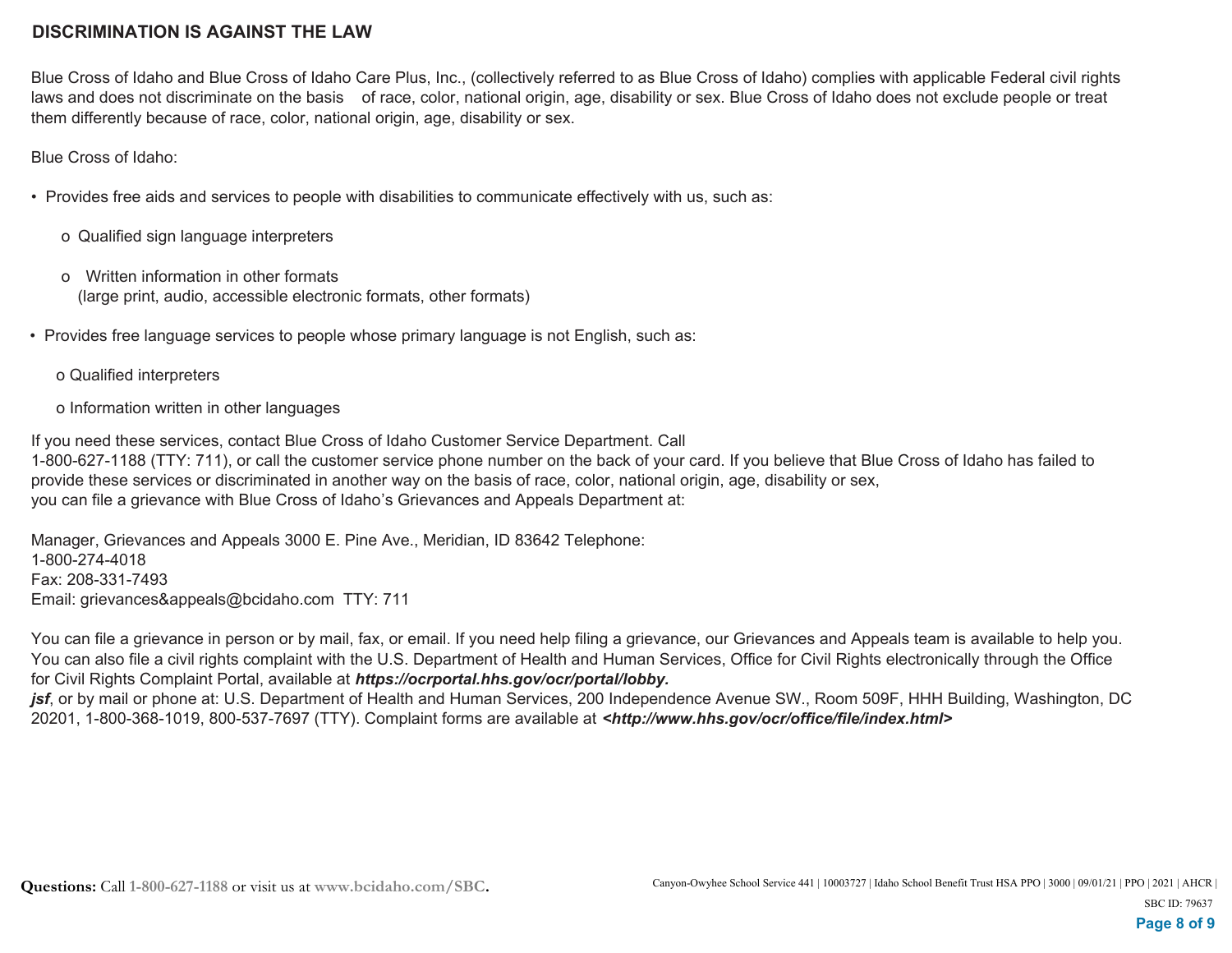### **DISCRIMINATION IS AGAINST THE LAW**

Blue Cross of Idaho and Blue Cross of Idaho Care Plus, Inc., (collectively referred to as Blue Cross of Idaho) complies with applicable Federal civil rights laws and does not discriminate on the basis of race, color, national origin, age, disability or sex. Blue Cross of Idaho does not exclude people or treat them differently because of race, color, national origin, age, disability or sex.

Blue Cross of Idaho:

- Provides free aids and services to people with disabilities to communicate effectively with us, such as:
	- o Qualified sign language interpreters
	- o Written information in other formats (large print, audio, accessible electronic formats, other formats)
- Provides free language services to people whose primary language is not English, such as:
	- o Qualified interpreters
	- o Information written in other languages

If you need these services, contact Blue Cross of Idaho Customer Service Department. Call 1-800-627-1188 (TTY: 711), or call the customer service phone number on the back of your card. If you believe that Blue Cross of Idaho has failed to provide these services or discriminated in another way on the basis of race, color, national origin, age, disability or sex, you can file a grievance with Blue Cross of Idaho's Grievances and Appeals Department at:

Manager, Grievances and Appeals 3000 E. Pine Ave., Meridian, ID 83642 Telephone: 1-800-274-4018 Fax: 208-331-7493 Email: grievances&appeals@bcidaho.com TTY: 711

You can file a grievance in person or by mail, fax, or email. If you need help filing a grievance, our Grievances and Appeals team is available to help you. You can also file a civil rights complaint with the U.S. Department of Health and Human Services, Office for Civil Rights electronically through the Office for Civil Rights Complaint Portal, available at *https://ocrportal.hhs.gov/ocr/portal/lobby.*

*jsf*, or by mail or phone at: U.S. Department of Health and Human Services, 200 Independence Avenue SW., Room 509F, HHH Building, Washington, DC 20201, 1-800-368-1019, 800-537-7697 (TTY). Complaint forms are available at *<http://www.hhs.gov/ocr/office/file/index.html>*